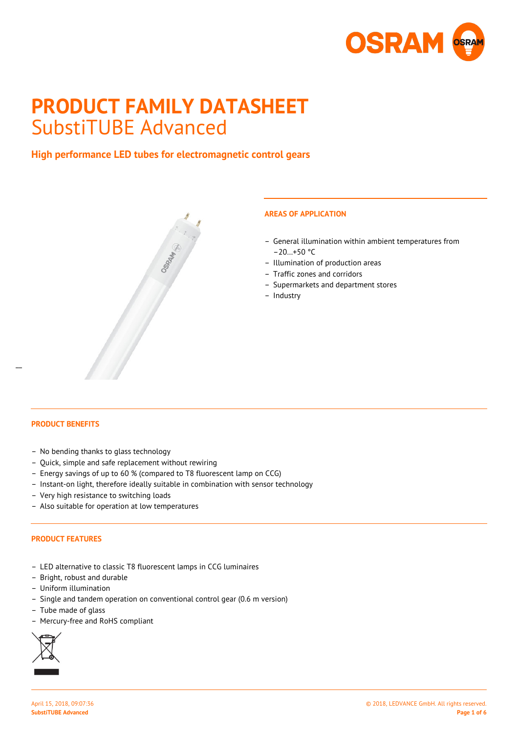

# **PRODUCT FAMILY DATASHEET** SubstiTUBE Advanced

# **High performance LED tubes for electromagnetic control gears**



# **AREAS OF APPLICATION**

- General illumination within ambient temperatures from  $-20...+50$  °C
- Illumination of production areas
- Traffic zones and corridors
- Supermarkets and department stores
- Industry

# **PRODUCT BENEFITS**

 $\overline{a}$ 

- No bending thanks to glass technology
- Quick, simple and safe replacement without rewiring
- Energy savings of up to 60 % (compared to T8 fluorescent lamp on CCG)
- Instant-on light, therefore ideally suitable in combination with sensor technology
- Very high resistance to switching loads
- Also suitable for operation at low temperatures

# **PRODUCT FEATURES**

- LED alternative to classic T8 fluorescent lamps in CCG luminaires
- Bright, robust and durable
- Uniform illumination
- Single and tandem operation on conventional control gear (0.6 m version)
- Tube made of glass
- Mercury-free and RoHS compliant

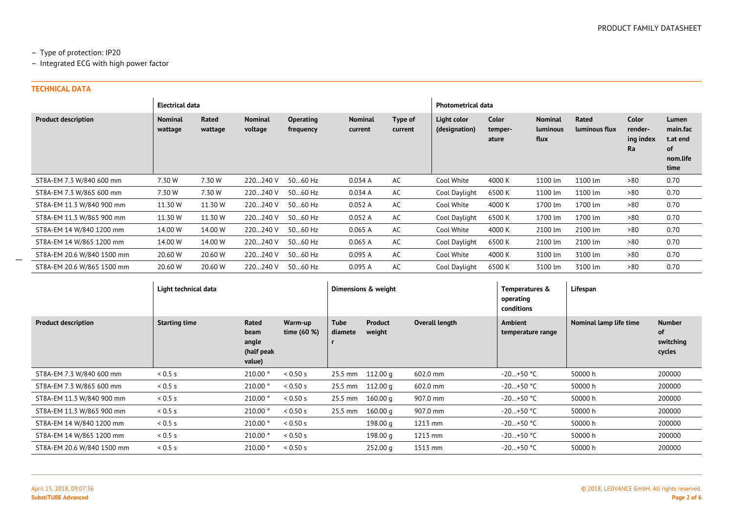# – Type of protection: IP20

– Integrated ECG with high power factor

# **TECHNICAL DATA**

|                            | <b>Electrical data</b>    |                  |                           |                               |                           |                    |                              | <b>Photometrical data</b> |                                    |                        |                                            |                                                         |
|----------------------------|---------------------------|------------------|---------------------------|-------------------------------|---------------------------|--------------------|------------------------------|---------------------------|------------------------------------|------------------------|--------------------------------------------|---------------------------------------------------------|
| <b>Product description</b> | <b>Nominal</b><br>wattage | Rated<br>wattage | <b>Nominal</b><br>voltage | <b>Operating</b><br>frequency | <b>Nominal</b><br>current | Type of<br>current | Light color<br>(designation) | Color<br>temper-<br>ature | <b>Nominal</b><br>luminous<br>flux | Rated<br>luminous flux | <b>Color</b><br>render-<br>ing index<br>Ra | Lumen<br>main.fac<br>t.at end<br>οf<br>nom.life<br>time |
| ST8A-EM 7.3 W/840 600 mm   | 7.30 W                    | 7.30 W           | 220240 V                  | 5060 Hz                       | 0.034A                    | AC                 | Cool White                   | 4000 K                    | 1100 lm                            | 1100 lm                | >80                                        | 0.70                                                    |
| ST8A-EM 7.3 W/865 600 mm   | 7.30 W                    | 7.30 W           | 220240 V                  | 5060 Hz                       | 0.034A                    | AC                 | Cool Daylight                | 6500 K                    | 1100 lm                            | 1100 lm                | >80                                        | 0.70                                                    |
| ST8A-EM 11.3 W/840 900 mm  | 11.30 W                   | 11.30 W          | 220240 V                  | 5060 Hz                       | 0.052A                    | AC                 | Cool White                   | 4000 K                    | 1700 lm                            | 1700 lm                | >80                                        | 0.70                                                    |
| ST8A-EM 11.3 W/865 900 mm  | 11.30 W                   | 11.30 W          | 220240 V                  | 5060 Hz                       | 0.052A                    | AC                 | Cool Daylight                | 6500 K                    | 1700 lm                            | 1700 lm                | >80                                        | 0.70                                                    |
| ST8A-EM 14 W/840 1200 mm   | 14.00 W                   | 14.00 W          | 220240 V                  | 5060 Hz                       | 0.065A                    | AC                 | Cool White                   | 4000 K                    | 2100 lm                            | 2100 lm                | >80                                        | 0.70                                                    |
| ST8A-EM 14 W/865 1200 mm   | 14.00 W                   | 14.00 W          | 220240 V                  | 5060 Hz                       | 0.065A                    | AC                 | Cool Daylight                | 6500 K                    | 2100 lm                            | 2100 lm                | >80                                        | 0.70                                                    |
| ST8A-EM 20.6 W/840 1500 mm | 20.60 W                   | 20.60 W          | 220240 V                  | 5060 Hz                       | 0.095A                    | AC                 | Cool White                   | 4000 K                    | 3100 lm                            | 3100 lm                | >80                                        | 0.70                                                    |
| ST8A-EM 20.6 W/865 1500 mm | 20.60 W                   | 20.60 W          | 220240 V                  | 5060 Hz                       | 0.095A                    | AC                 | Cool Daylight                | 6500K                     | 3100 lm                            | 3100 lm                | >80                                        | 0.70                                                    |

|                            | Light technical data |                                                |                          | Dimensions & weight |                          |                | Lifespan<br>Temperatures &<br>operating<br>conditions |                        |                                            |
|----------------------------|----------------------|------------------------------------------------|--------------------------|---------------------|--------------------------|----------------|-------------------------------------------------------|------------------------|--------------------------------------------|
| <b>Product description</b> | <b>Starting time</b> | Rated<br>beam<br>angle<br>(half peak<br>value) | Warm-up<br>time $(60 %)$ | Tube<br>diamete     | <b>Product</b><br>weight | Overall length | Ambient<br>temperature range                          | Nominal lamp life time | <b>Number</b><br>of<br>switching<br>cycles |
| ST8A-EM 7.3 W/840 600 mm   | 0.5 s                | 210.00°                                        | < 0.50 s                 | 25.5 mm             | 112.00 a                 | 602.0 mm       | $-20+50$ °C                                           | 50000 h                | 200000                                     |
| ST8A-EM 7.3 W/865 600 mm   | 0.5 s                | 210.00 °                                       | < 0.50 s                 |                     | 25.5 mm 112.00 g         | 602.0 mm       | $-20+50$ °C                                           | 50000 h                | 200000                                     |
| ST8A-EM 11.3 W/840 900 mm  | 0.5 s                | 210.00 °                                       | 0.50 s                   | 25.5 mm             | 160.00 g                 | 907.0 mm       | $-20+50$ °C                                           | 50000 h                | 200000                                     |
| ST8A-EM 11.3 W/865 900 mm  | 0.5 s                | 210.00°                                        | < 0.50 s                 | 25.5 mm             | 160.00 a                 | 907.0 mm       | $-20+50$ °C                                           | 50000 h                | 200000                                     |
| ST8A-EM 14 W/840 1200 mm   | 0.5 s                | 210.00°                                        | 0.50 s                   |                     | 198.00 g                 | 1213 mm        | $-20+50$ °C                                           | 50000 h                | 200000                                     |
| ST8A-EM 14 W/865 1200 mm   | 0.5 s                | 210.00°                                        | 0.50 s                   |                     | 198.00 g                 | 1213 mm        | $-20+50$ °C                                           | 50000 h                | 200000                                     |
| ST8A-EM 20.6 W/840 1500 mm | 0.5 s                | 210.00 °                                       | 0.50 s                   |                     | 252.00 <sub>q</sub>      | 1513 mm        | $-20+50$ °C                                           | 50000 h                | 200000                                     |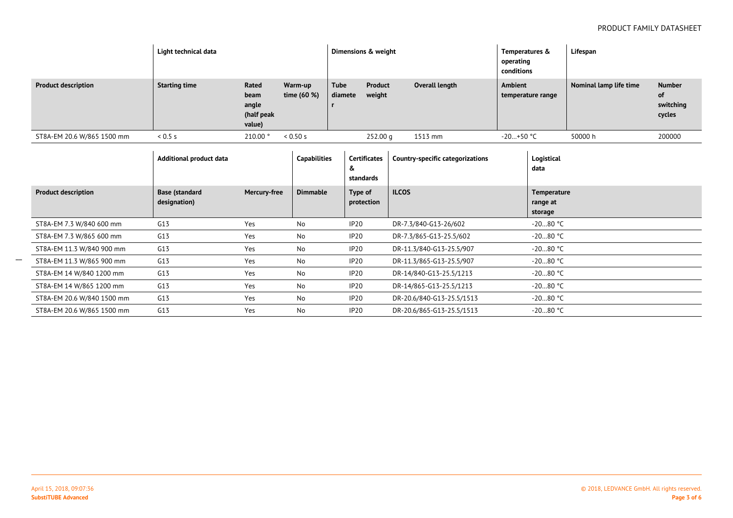|                            | Light technical data |                                                |                        | Dimensions & weight |                   |                | Temperatures &<br>operating<br>conditions | Lifespan               |                                            |
|----------------------------|----------------------|------------------------------------------------|------------------------|---------------------|-------------------|----------------|-------------------------------------------|------------------------|--------------------------------------------|
| <b>Product description</b> | <b>Starting time</b> | Rated<br>beam<br>angle<br>(half peak<br>value) | Warm-up<br>time (60 %) | Tube<br>diamete     | Product<br>weight | Overall length | Ambient<br>temperature range              | Nominal lamp life time | <b>Number</b><br>of<br>switching<br>cycles |
| ST8A-EM 20.6 W/865 1500 mm | 0.5s                 | 210.00                                         | 0.50 s                 |                     | 252.00 g          | 1513 mm        | -20…+50 °C                                | 50000 h                | 200000                                     |

|                            | Additional product data |              | <b>Capabilities</b> | Certificates<br>čx<br>standards | Country-specific categorizations | Logistical<br>data  |
|----------------------------|-------------------------|--------------|---------------------|---------------------------------|----------------------------------|---------------------|
| <b>Product description</b> | <b>Base (standard</b>   | Mercury-free | <b>Dimmable</b>     | Type of                         | <b>ILCOS</b>                     | Temperature         |
|                            | designation)            |              |                     | protection                      |                                  | range at<br>storage |
| ST8A-EM 7.3 W/840 600 mm   | G13                     | Yes          | No                  | IP20                            | DR-7.3/840-G13-26/602            | $-2080$ °C          |
| ST8A-EM 7.3 W/865 600 mm   | G13                     | Yes          | No                  | IP <sub>20</sub>                | DR-7.3/865-G13-25.5/602          | $-2080$ °C          |
| ST8A-EM 11.3 W/840 900 mm  | G13                     | Yes          | No                  | IP <sub>20</sub>                | DR-11.3/840-G13-25.5/907         | $-2080$ °C          |
| ST8A-EM 11.3 W/865 900 mm  | G13                     | Yes          | No                  | IP <sub>20</sub>                | DR-11.3/865-G13-25.5/907         | $-2080$ °C          |
| ST8A-EM 14 W/840 1200 mm   | G13                     | Yes          | No                  | IP20                            | DR-14/840-G13-25.5/1213          | $-2080$ °C          |
| ST8A-EM 14 W/865 1200 mm   | G13                     | Yes          | No                  | IP20                            | DR-14/865-G13-25.5/1213          | $-2080$ °C          |
| ST8A-EM 20.6 W/840 1500 mm | G13                     | Yes          | No                  | IP <sub>20</sub>                | DR-20.6/840-G13-25.5/1513        | $-2080$ °C          |
| ST8A-EM 20.6 W/865 1500 mm | G13                     | Yes          | No                  | IP <sub>20</sub>                | DR-20.6/865-G13-25.5/1513        | $-2080$ °C          |

 $\overline{\phantom{a}}$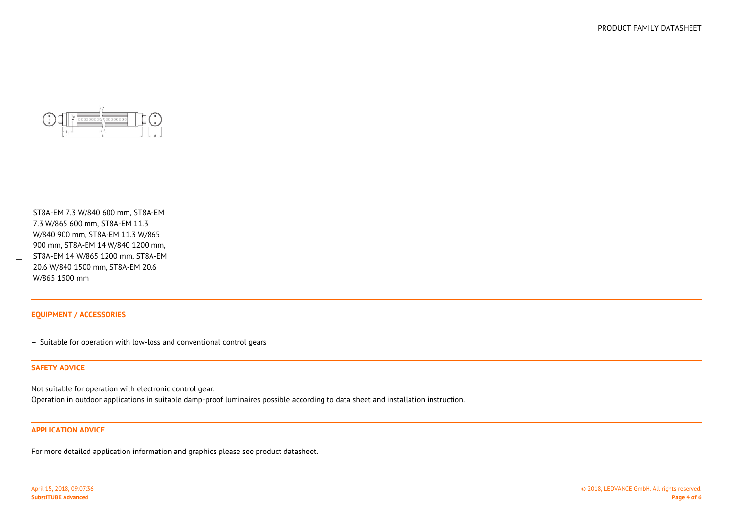

ST8A-EM 7.3 W/840 600 mm, ST8A-EM7.3 W/865 600 mm, ST8A-EM 11.3 W/840 900 mm, ST8A-EM 11.3 W/865 900 mm, ST8A-EM 14 W/840 1200 mm, ST8A-EM 14 W/865 1200 mm, ST8A-EM20.6 W/840 1500 mm, ST8A-EM 20.6W/865 1500 mm

#### **EQUIPMENT / ACCESSORIES**

– Suitable for operation with low-loss and conventional control gears

#### **SAFETY ADVICE**

 $\overline{\phantom{a}}$ 

Not suitable for operation with electronic control gear.

Operation in outdoor applications in suitable damp-proof luminaires possible according to data sheet and installation instruction.

#### **APPLICATION ADVICE**

For more detailed application information and graphics please see product datasheet.

April 15, 2018, 09:07:36**SubstiTUBE Advanced**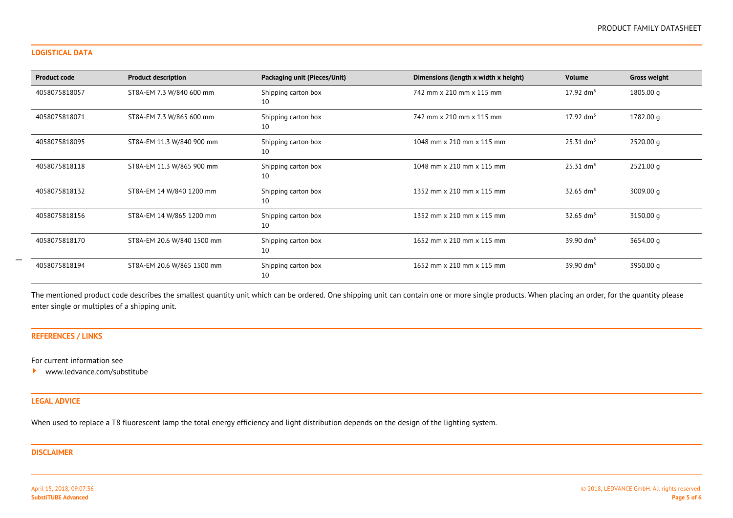#### **LOGISTICAL DATA**

| <b>Product code</b> | <b>Product description</b> | Packaging unit (Pieces/Unit) | Dimensions (length x width x height) | <b>Volume</b>           | <b>Gross weight</b> |
|---------------------|----------------------------|------------------------------|--------------------------------------|-------------------------|---------------------|
| 4058075818057       | ST8A-EM 7.3 W/840 600 mm   | Shipping carton box<br>10    | 742 mm x 210 mm x 115 mm             | $17.92 \text{ dm}^3$    | 1805.00 g           |
| 4058075818071       | ST8A-EM 7.3 W/865 600 mm   | Shipping carton box<br>10    | 742 mm x 210 mm x 115 mm             | $17.92 \text{ dm}^3$    | 1782.00 g           |
| 4058075818095       | ST8A-EM 11.3 W/840 900 mm  | Shipping carton box<br>10    | 1048 mm x 210 mm x 115 mm            | $25.31$ dm <sup>3</sup> | 2520.00 g           |
| 4058075818118       | ST8A-EM 11.3 W/865 900 mm  | Shipping carton box<br>10    | 1048 mm x 210 mm x 115 mm            | 25.31 dm <sup>3</sup>   | 2521.00 g           |
| 4058075818132       | ST8A-EM 14 W/840 1200 mm   | Shipping carton box<br>10    | 1352 mm x 210 mm x 115 mm            | $32.65$ dm <sup>3</sup> | 3009.00 g           |
| 4058075818156       | ST8A-EM 14 W/865 1200 mm   | Shipping carton box<br>10    | 1352 mm x 210 mm x 115 mm            | $32.65$ dm <sup>3</sup> | 3150.00 g           |
| 4058075818170       | ST8A-EM 20.6 W/840 1500 mm | Shipping carton box<br>10    | 1652 mm x 210 mm x 115 mm            | 39.90 $dm^3$            | 3654.00 g           |
| 4058075818194       | ST8A-EM 20.6 W/865 1500 mm | Shipping carton box<br>10    | 1652 mm x 210 mm x 115 mm            | $39.90 \text{ dm}^3$    | 3950.00 g           |

The mentioned product code describes the smallest quantity unit which can be ordered. One shipping unit can contain one or more single products. When placing an order, for the quantity please enter single or multiples of a shipping unit.

# **REFERENCES / LINKS**

For current information see

 $\blacktriangleright$ <www.ledvance.com/substitube>

# **LEGAL ADVICE**

When used to replace a T8 fluorescent lamp the total energy efficiency and light distribution depends on the design of the lighting system.

### **DISCLAIMER**

April 15, 2018, 09:07:36**SubstiTUBE Advanced**